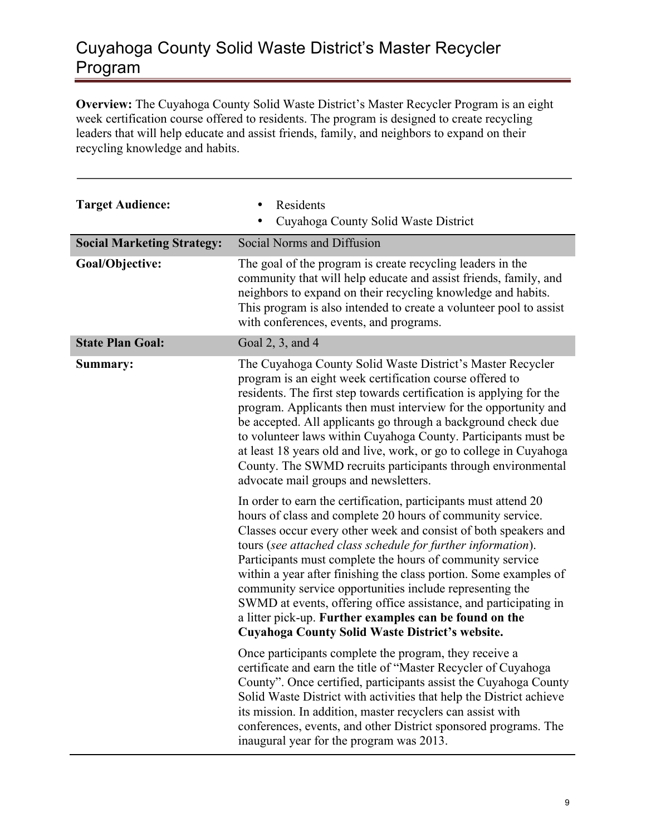## Cuyahoga County Solid Waste District's Master Recycler Program

**Overview:** The Cuyahoga County Solid Waste District's Master Recycler Program is an eight week certification course offered to residents. The program is designed to create recycling leaders that will help educate and assist friends, family, and neighbors to expand on their recycling knowledge and habits.

| <b>Target Audience:</b>           | Residents<br>$\bullet$<br>Cuyahoga County Solid Waste District                                                                                                                                                                                                                                                                                                                                                                                                                                                                                                                                                                                  |
|-----------------------------------|-------------------------------------------------------------------------------------------------------------------------------------------------------------------------------------------------------------------------------------------------------------------------------------------------------------------------------------------------------------------------------------------------------------------------------------------------------------------------------------------------------------------------------------------------------------------------------------------------------------------------------------------------|
| <b>Social Marketing Strategy:</b> | Social Norms and Diffusion                                                                                                                                                                                                                                                                                                                                                                                                                                                                                                                                                                                                                      |
| Goal/Objective:                   | The goal of the program is create recycling leaders in the<br>community that will help educate and assist friends, family, and<br>neighbors to expand on their recycling knowledge and habits.<br>This program is also intended to create a volunteer pool to assist<br>with conferences, events, and programs.                                                                                                                                                                                                                                                                                                                                 |
| <b>State Plan Goal:</b>           | Goal 2, 3, and 4                                                                                                                                                                                                                                                                                                                                                                                                                                                                                                                                                                                                                                |
| Summary:                          | The Cuyahoga County Solid Waste District's Master Recycler<br>program is an eight week certification course offered to<br>residents. The first step towards certification is applying for the<br>program. Applicants then must interview for the opportunity and<br>be accepted. All applicants go through a background check due<br>to volunteer laws within Cuyahoga County. Participants must be<br>at least 18 years old and live, work, or go to college in Cuyahoga<br>County. The SWMD recruits participants through environmental<br>advocate mail groups and newsletters.                                                              |
|                                   | In order to earn the certification, participants must attend 20<br>hours of class and complete 20 hours of community service.<br>Classes occur every other week and consist of both speakers and<br>tours (see attached class schedule for further information).<br>Participants must complete the hours of community service<br>within a year after finishing the class portion. Some examples of<br>community service opportunities include representing the<br>SWMD at events, offering office assistance, and participating in<br>a litter pick-up. Further examples can be found on the<br>Cuyahoga County Solid Waste District's website. |
|                                   | Once participants complete the program, they receive a<br>certificate and earn the title of "Master Recycler of Cuyahoga<br>County". Once certified, participants assist the Cuyahoga County<br>Solid Waste District with activities that help the District achieve<br>its mission. In addition, master recyclers can assist with<br>conferences, events, and other District sponsored programs. The<br>inaugural year for the program was 2013.                                                                                                                                                                                                |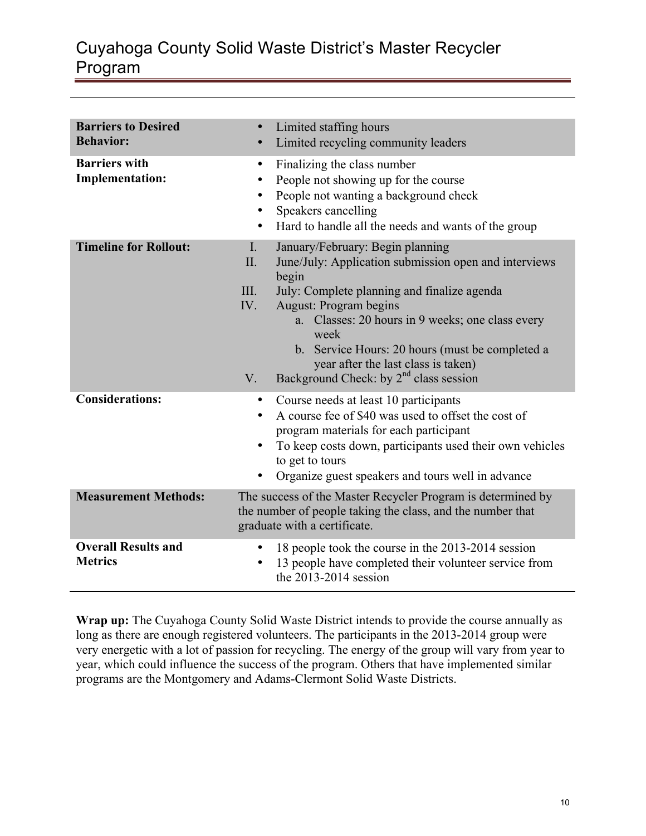## Cuyahoga County Solid Waste District's Master Recycler Program

| <b>Barriers to Desired</b><br><b>Behavior:</b> | Limited staffing hours<br>$\bullet$<br>Limited recycling community leaders<br>$\bullet$                                                                                                                                                                                                                                                                                                                                              |
|------------------------------------------------|--------------------------------------------------------------------------------------------------------------------------------------------------------------------------------------------------------------------------------------------------------------------------------------------------------------------------------------------------------------------------------------------------------------------------------------|
| <b>Barriers with</b><br><b>Implementation:</b> | Finalizing the class number<br>$\bullet$<br>People not showing up for the course<br>$\bullet$<br>People not wanting a background check<br>٠<br>Speakers cancelling<br>$\bullet$<br>Hard to handle all the needs and wants of the group<br>٠                                                                                                                                                                                          |
| <b>Timeline for Rollout:</b>                   | $\mathbf{I}$ .<br>January/February: Begin planning<br>June/July: Application submission open and interviews<br>II.<br>begin<br>July: Complete planning and finalize agenda<br>III.<br>IV.<br>August: Program begins<br>a. Classes: 20 hours in 9 weeks; one class every<br>week<br>b. Service Hours: 20 hours (must be completed a<br>year after the last class is taken)<br>Background Check: by $2nd$ class session<br>$V_{\cdot}$ |
| <b>Considerations:</b>                         | Course needs at least 10 participants<br>$\bullet$<br>A course fee of \$40 was used to offset the cost of<br>program materials for each participant<br>To keep costs down, participants used their own vehicles<br>to get to tours<br>Organize guest speakers and tours well in advance                                                                                                                                              |
| <b>Measurement Methods:</b>                    | The success of the Master Recycler Program is determined by<br>the number of people taking the class, and the number that<br>graduate with a certificate.                                                                                                                                                                                                                                                                            |
| <b>Overall Results and</b><br><b>Metrics</b>   | 18 people took the course in the 2013-2014 session<br>13 people have completed their volunteer service from<br>the $2013-2014$ session                                                                                                                                                                                                                                                                                               |

Wrap up: The Cuyahoga County Solid Waste District intends to provide the course annually as long as there are enough registered volunteers. The participants in the 2013-2014 group were very energetic with a lot of passion for recycling. The energy of the group will vary from year to year, which could influence the success of the program. Others that have implemented similar programs are the Montgomery and Adams-Clermont Solid Waste Districts.